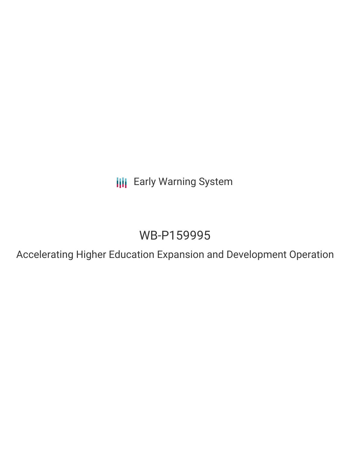**III** Early Warning System

# WB-P159995

Accelerating Higher Education Expansion and Development Operation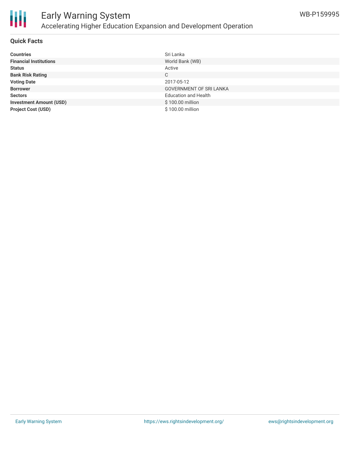

#### **Quick Facts**

| <b>Countries</b>               | Sri Lanka                      |
|--------------------------------|--------------------------------|
| <b>Financial Institutions</b>  | World Bank (WB)                |
| <b>Status</b>                  | Active                         |
| <b>Bank Risk Rating</b>        | С                              |
| <b>Voting Date</b>             | 2017-05-12                     |
| <b>Borrower</b>                | <b>GOVERNMENT OF SRI LANKA</b> |
| <b>Sectors</b>                 | <b>Education and Health</b>    |
| <b>Investment Amount (USD)</b> | \$100.00 million               |
| <b>Project Cost (USD)</b>      | \$100.00 million               |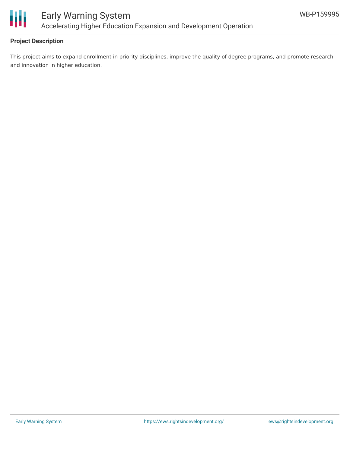

### **Project Description**

This project aims to expand enrollment in priority disciplines, improve the quality of degree programs, and promote research and innovation in higher education.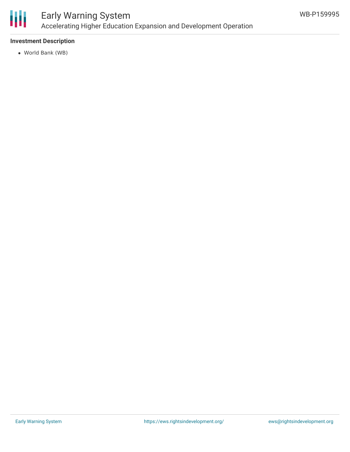

#### **Investment Description**

World Bank (WB)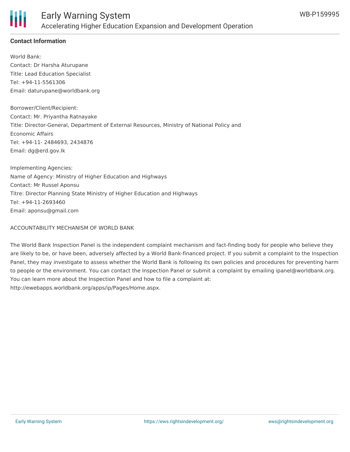

## **Contact Information**

World Bank: Contact: Dr Harsha Aturupane Title: Lead Education Specialist Tel: +94-11-5561306 Email: daturupane@worldbank.org

Borrower/Client/Recipient: Contact: Mr. Priyantha Ratnayake Title: Director-General, Department of External Resources, Ministry of National Policy and Economic Affairs Tel: +94-11- 2484693, 2434876 Email: dg@erd.gov.lk

Implementing Agencies: Name of Agency: Ministry of Higher Education and Highways Contact: Mr Russel Aponsu Titre: Director Planning State Ministry of Higher Education and Highways Tel: +94-11-2693460 Email: aponsu@gmail.com

#### ACCOUNTABILITY MECHANISM OF WORLD BANK

The World Bank Inspection Panel is the independent complaint mechanism and fact-finding body for people who believe they are likely to be, or have been, adversely affected by a World Bank-financed project. If you submit a complaint to the Inspection Panel, they may investigate to assess whether the World Bank is following its own policies and procedures for preventing harm to people or the environment. You can contact the Inspection Panel or submit a complaint by emailing ipanel@worldbank.org. You can learn more about the Inspection Panel and how to file a complaint at: http://ewebapps.worldbank.org/apps/ip/Pages/Home.aspx.